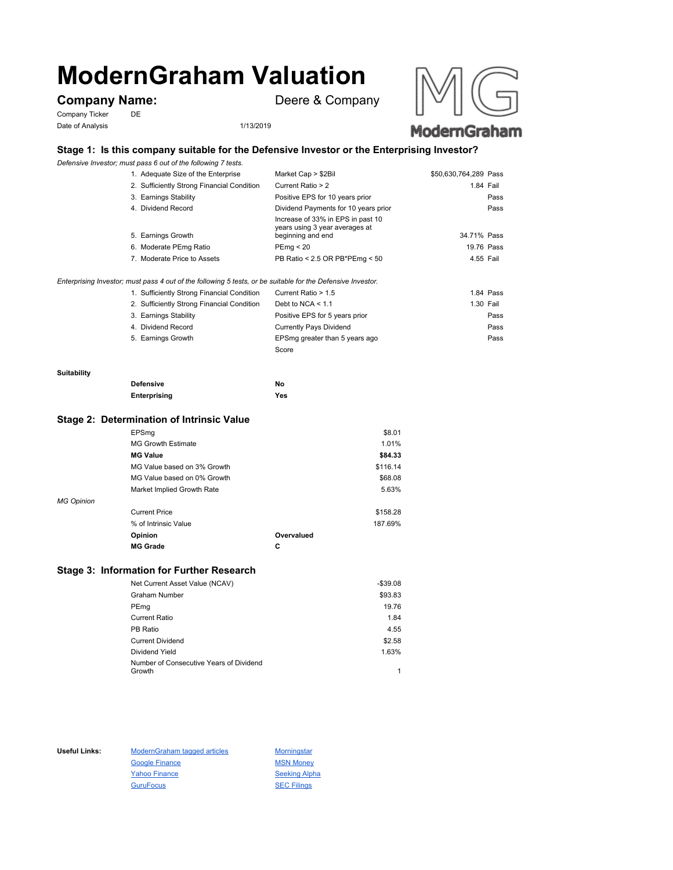# **ModernGraham Valuation**

Company Ticker DE Date of Analysis 1/13/2019

**Company Name:** Deere & Company



# **Stage 1: Is this company suitable for the Defensive Investor or the Enterprising Investor?**

*Defensive Investor; must pass 6 out of the following 7 tests.*

| 1. Adequate Size of the Enterprise         | Market Cap > \$2Bil                                                                      | \$50,630,764,289 Pass |
|--------------------------------------------|------------------------------------------------------------------------------------------|-----------------------|
| 2. Sufficiently Strong Financial Condition | Current Ratio > 2                                                                        | 1.84 Fail             |
| 3. Earnings Stability                      | Positive EPS for 10 years prior                                                          | Pass                  |
| 4. Dividend Record                         | Dividend Payments for 10 years prior                                                     | Pass                  |
| 5. Earnings Growth                         | Increase of 33% in EPS in past 10<br>years using 3 year averages at<br>beginning and end | 34.71% Pass           |
| 6. Moderate PEmg Ratio                     | PEmg < 20                                                                                | 19.76 Pass            |
| 7. Moderate Price to Assets                | PB Ratio < 2.5 OR PB*PEmg < 50                                                           | 4.55 Fail             |
|                                            |                                                                                          |                       |

*Enterprising Investor; must pass 4 out of the following 5 tests, or be suitable for the Defensive Investor.*

| 1. Sufficiently Strong Financial Condition | Current Ratio > 1.5            | 1.84 Pass |
|--------------------------------------------|--------------------------------|-----------|
| 2. Sufficiently Strong Financial Condition | Debt to NCA $<$ 1.1            | 1.30 Fail |
| 3. Earnings Stability                      | Positive EPS for 5 years prior | Pass      |
| 4. Dividend Record                         | <b>Currently Pays Dividend</b> | Pass      |
| 5. Earnings Growth                         | EPSmg greater than 5 years ago | Pass      |
|                                            | Score                          |           |

#### **Suitability**

| <b>Defensive</b> | Νo  |
|------------------|-----|
| Enterprising     | Yes |

### **Stage 2: Determination of Intrinsic Value**

|                   | EPSmg                       |            | \$8.01   |
|-------------------|-----------------------------|------------|----------|
|                   | <b>MG Growth Estimate</b>   |            | 1.01%    |
|                   | <b>MG Value</b>             |            | \$84.33  |
|                   | MG Value based on 3% Growth |            | \$116.14 |
|                   | MG Value based on 0% Growth |            | \$68.08  |
|                   | Market Implied Growth Rate  |            | 5.63%    |
| <b>MG Opinion</b> |                             |            |          |
|                   | <b>Current Price</b>        |            | \$158.28 |
|                   | % of Intrinsic Value        |            | 187.69%  |
|                   | Opinion                     | Overvalued |          |
|                   | <b>MG Grade</b>             | С          |          |
|                   |                             |            |          |

## **Stage 3: Information for Further Research**

| Net Current Asset Value (NCAV)          | $-$39.08$ |
|-----------------------------------------|-----------|
| Graham Number                           | \$93.83   |
| PEmg                                    | 19.76     |
| Current Ratio                           | 1.84      |
| PB Ratio                                | 4.55      |
| <b>Current Dividend</b>                 | \$2.58    |
| Dividend Yield                          | 1.63%     |
| Number of Consecutive Years of Dividend |           |
| Growth                                  | 1         |

Useful Links: ModernGraham tagged articles Morningstar Google Finance MSN Money Yahoo Finance Seeking Alpha GuruFocus SEC Filings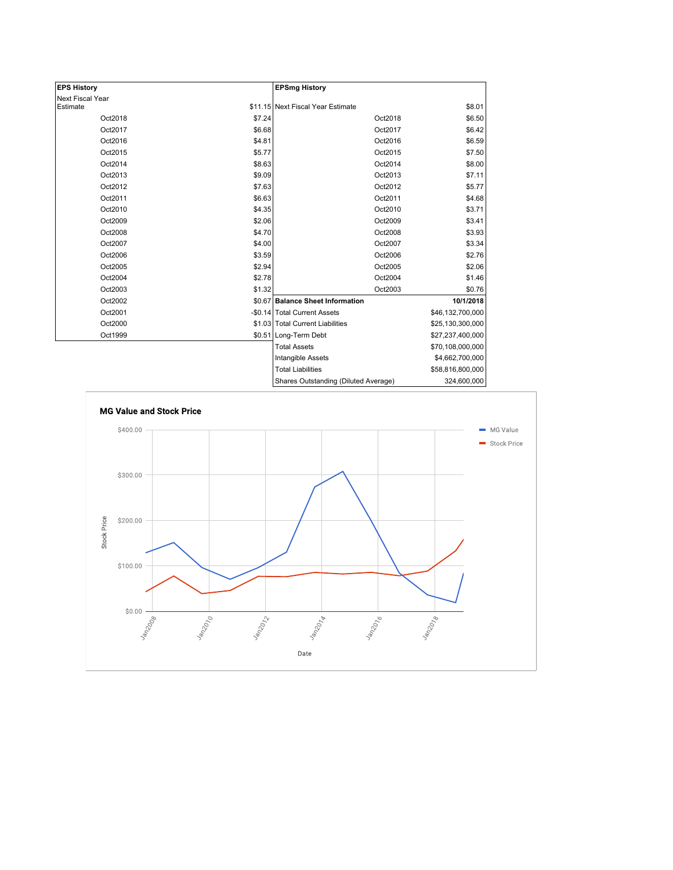| <b>EPS History</b> |        | <b>EPSmg History</b>                 |                  |
|--------------------|--------|--------------------------------------|------------------|
| Next Fiscal Year   |        |                                      |                  |
| Estimate           |        | \$11.15 Next Fiscal Year Estimate    | \$8.01           |
| Oct2018            | \$7.24 | Oct2018                              | \$6.50           |
| Oct2017            | \$6.68 | Oct2017                              | \$6.42           |
| Oct2016            | \$4.81 | Oct2016                              | \$6.59           |
| Oct2015            | \$5.77 | Oct2015                              | \$7.50           |
| Oct2014            | \$8.63 | Oct2014                              | \$8.00           |
| Oct2013            | \$9.09 | Oct2013                              | \$7.11           |
| Oct2012            | \$7.63 | Oct2012                              | \$5.77           |
| Oct2011            | \$6.63 | Oct2011                              | \$4.68           |
| Oct2010            | \$4.35 | Oct2010                              | \$3.71           |
| Oct2009            | \$2.06 | Oct2009                              | \$3.41           |
| Oct2008            | \$4.70 | Oct2008                              | \$3.93           |
| Oct2007            | \$4.00 | Oct2007                              | \$3.34           |
| Oct2006            | \$3.59 | Oct2006                              | \$2.76           |
| Oct2005            | \$2.94 | Oct2005                              | \$2.06           |
| Oct2004            | \$2.78 | Oct2004                              | \$1.46           |
| Oct2003            | \$1.32 | Oct2003                              | \$0.76           |
| Oct2002            |        | \$0.67 Balance Sheet Information     | 10/1/2018        |
| Oct2001            |        | -\$0.14 Total Current Assets         | \$46,132,700,000 |
| Oct2000            |        | \$1.03 Total Current Liabilities     | \$25,130,300,000 |
| Oct1999            |        | \$0.51 Long-Term Debt                | \$27,237,400,000 |
|                    |        | <b>Total Assets</b>                  | \$70,108,000,000 |
|                    |        | Intangible Assets                    | \$4,662,700,000  |
|                    |        | <b>Total Liabilities</b>             | \$58,816,800,000 |
|                    |        | Sharee Outetanding (Diluted Average) | 321 BUD 000      |